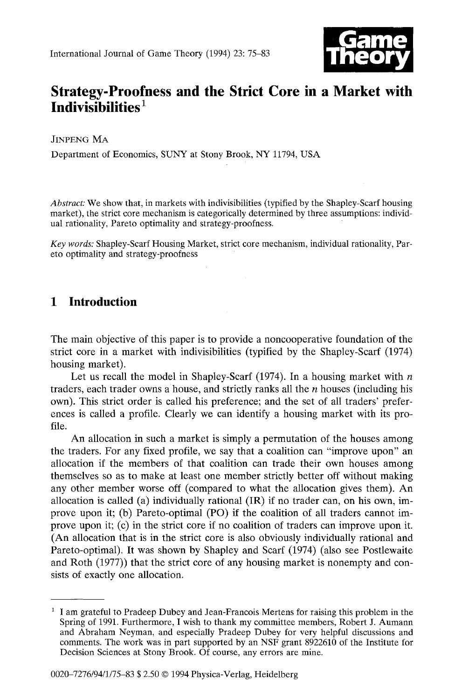

# **Strategy-Proofness and the Strict Core in a Market with Indivisibilities 1**

JINPENG MA

Department of Economics, SUNY at Stony Brook, NY 11794, USA

*Abstract."* We show that, in markets with indivisibilities (typified by the Shapley-Scarf housing market), the strict core mechanism is categorically determined by three assumptions: individual rationality, Pareto optimality and strategy-proofness.

*Key words:* Shapley-Scarf Housing Market, strict core mechanism, individual rationality, Pareto optimality and strategy-proofness

# **1 Introduction**

The main objective of this paper is to provide a noncooperative foundation of the strict core in a market with indivisibilities (typified by the Shapley-Scarf (1974) housing market).

Let us recall the model in Shapley-Scarf (1974). In a housing market with  $n$ traders, each trader owns a house, and strictly ranks all the  $n$  houses (including his own). This strict order is called his preference; and the set of all traders' preferences is called a profile. Clearly we can identify a housing market with its profile.

An allocation in such a market is simply a permutation of the houses among the traders. For any fixed profile, we say that a coalition can "improve upon" an allocation if the members of that coalition can trade their own houses among themselves so as to make at least one member strictly better off without making any other member worse off (compared to what the allocation gives them). An allocation is called (a) individually rational (IR) if no trader can, on his own, improve upon it; (b) Pareto-optimal (PO) if the coalition of all traders cannot improve upon it; (c) in the strict core if no coalition of traders can improve upon it. (An allocation that is in the strict core is also obviously individually rational and Pareto-optimal). It was shown by Shapley and Scarf (1974) (also see Postlewaite and Roth (1977)) that the strict core of any housing market is nonempty and consists of exactly one allocation.

<sup>&</sup>lt;sup>1</sup> I am grateful to Pradeep Dubey and Jean-Francois Mertens for raising this problem in the Spring of 199i. Furthermore, I wish to thank my committee members, Robert J. Aumann and Abraham Neyman, and especially Pradeep Dubey for very helpful discussions and comments. The work was in part supported by an NSF grant 8922610 of the Institute for Decision Sciences at Stony Brook. Of course, any errors are mine.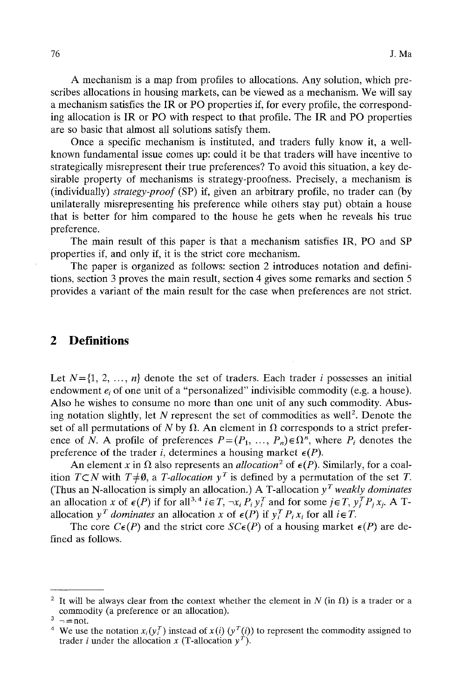A mechanism is a map from profiles to allocations. Any solution, which prescribes allocations in housing markets, can be viewed as a mechanism. We will say a mechanism satisfies the IR or PO properties if, for every profile, the corresponding allocation is IR or PO with respect to that profile. The IR and PO properties are so basic that almost all solutions satisfy them.

Once a specific mechanism is instituted, and traders fully know it, a wellknown fundamental issue comes up: could it be that traders will have incentive to strategically misrepresent their true preferences? To avoid this situation, a key desirable property of mechanisms is strategy-proofness. Precisely, a mechanism is (individually) *strategy-proof* (SP) if, given an arbitrary profile, no trader can (by unilaterally misrepresenting his preference while others stay put) obtain a house that is better for him compared to the house he gets when he reveals his true preference.

The main result of this paper is that a mechanism satisfies IR, PO and SP properties if, and only if, it is the strict core mechanism.

The paper is organized as follows: section 2 introduces notation and definitions, section 3 proves the main result, section 4 gives some remarks and section 5 provides a variant of the main result for the case when preferences are not strict.

### **2 Definitions**

Let  $N=\{1, 2, ..., n\}$  denote the set of traders. Each trader i possesses an initial endowment  $e_i$ , of one unit of a "personalized" indivisible commodity (e.g. a house). Also he wishes to consume no more than one unit of any such commodity. Abusing notation slightly, let N represent the set of commodities as well<sup>2</sup>. Denote the set of all permutations of N by  $\Omega$ . An element in  $\Omega$  corresponds to a strict preference of N. A profile of preferences  $P=(P_1, ..., P_n) \in \Omega^n$ , where  $P_i$  denotes the preference of the trader *i*, determines a housing market  $\epsilon(P)$ .

An element x in  $\Omega$  also represents an *allocation*<sup>2</sup> of  $\epsilon(P)$ . Similarly, for a coalition  $T\subset N$  with  $T\neq\emptyset$ , a *T-allocation*  $y<sup>T</sup>$  is defined by a permutation of the set *T*. (Thus an N-allocation is simply an allocation.) A T-allocation  $y<sup>T</sup>$  *weakly dominates* an allocation x of  $\epsilon(P)$  if for all<sup>3,4</sup>  $i \epsilon T$ ,  $\neg x_i P_i y_i^T$  and for some  $j \epsilon T$ ,  $y_i^T P_i x_i$ . A Tallocation  $y^T$  *dominates* an allocation x of  $\epsilon(P)$  if  $y_i^T P_i x_i$  for all  $i \in T$ .

The core  $C\epsilon(P)$  and the strict core  $SC\epsilon(P)$  of a housing market  $\epsilon(P)$  are defined as follows.

<sup>&</sup>lt;sup>2</sup> It will be always clear from the context whether the element in N (in  $\Omega$ ) is a trader or a commodity (a preference or an allocation).

 $3 \rightarrow$  = not.

<sup>&</sup>lt;sup>4</sup> We use the notation  $x_i(y_i^T)$  instead of  $x(i)$  ( $y^T(i)$ ) to represent the commodity assigned to trader *i* under the allocation x (T-allocation  $y^T$ ).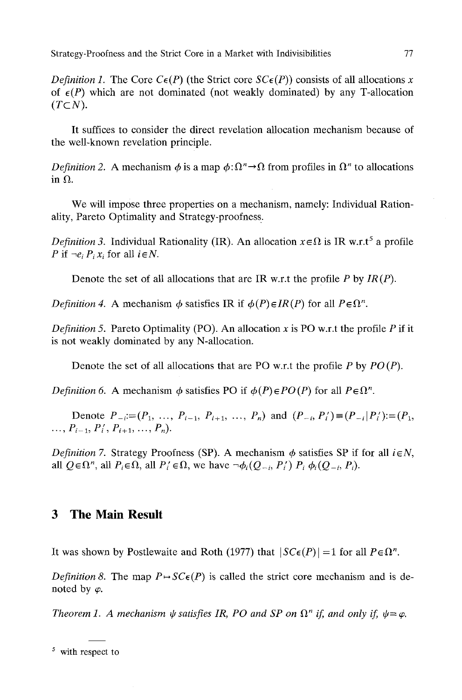*Definition 1.* The Core  $C_{\epsilon}(P)$  (the Strict core  $SC_{\epsilon}(P)$ ) consists of all allocations x of  $\epsilon(P)$  which are not dominated (not weakly dominated) by any T-allocation  $(T\subset N)$ .

It suffices to consider the direct revelation allocation mechanism because of the well-known revelation principle.

*Definition 2.* A mechanism  $\phi$  is a map  $\phi: \Omega^n \to \Omega$  from profiles in  $\Omega^n$  to allocations in  $\Omega$ .

We will impose three properties on a mechanism, namely: Individual Rationality, Pareto Optimality and Strategy-proofness..

*Definition 3.* Individual Rationality (IR). An allocation  $x \in \Omega$  is IR w.r.t<sup>5</sup> a profile *P* if  $\neg e_i P_i x_i$  for all  $i \in N$ .

Denote the set of all allocations that are IR w.r.t the profile P by *IR (P).* 

*Definition 4.* A mechanism  $\phi$  satisfies IR if  $\phi(P) \in IR(P)$  for all  $P \in \Omega^n$ .

*Definition 5.* Pareto Optimality (PO). An allocation x is PO w.r.t the profile P if it is not weakly dominated by any N-allocation.

Denote the set of all allocations that are PO w.r.t the profile P by *PO (P).* 

*Definition 6.* A mechanism  $\phi$  satisfies PO if  $\phi(P) \in PO(P)$  for all  $P \in \Omega^n$ .

Denote  $P_{-i}=(P_1, ..., P_{i-1}, P_{i+1}, ..., P_n)$  and  $(P_{-i}, P_i')=(P_{-i}|P_i')=(P_1, P_1')$  $\ldots, P_{i-1}, P'_i, P_{i+1}, \ldots, P_n$ .

*Definition 7.* Strategy Proofness (SP). A mechanism  $\phi$  satisfies SP if for all  $i \in N$ , all  $Q \in \Omega^n$ , all  $P_i \in \Omega$ , all  $P'_i \in \Omega$ , we have  $\neg \phi_i(Q_{-i}, P'_i) P_i \phi_i(Q_{-i}, P_i)$ .

### **3 The Main Result**

It was shown by Postlewaite and Roth (1977) that  $|SC\epsilon(P)| = 1$  for all  $P \epsilon \Omega^n$ .

*Definition 8.* The map  $P \rightarrow SC \epsilon(P)$  is called the strict core mechanism and is denoted by  $\varphi$ .

*Theorem 1. A mechanism*  $\psi$  *satisfies IR, PO and SP on*  $\Omega^n$  *if, and only if,*  $\psi = \varphi$ *.* 

<sup>&</sup>lt;sup>5</sup> with respect to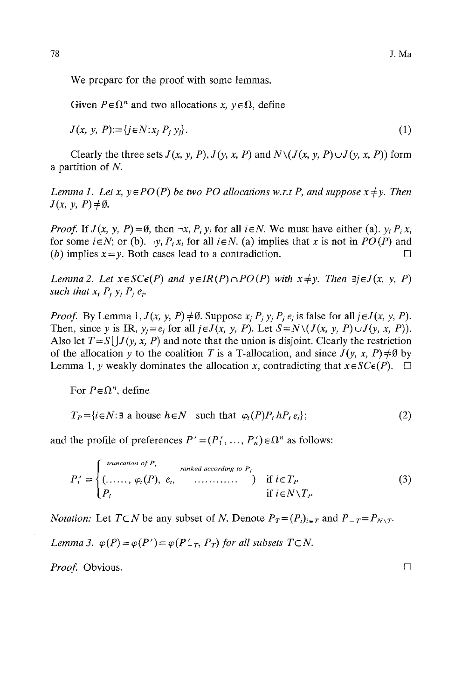We prepare for the proof with some lemmas.

Given  $P \in \Omega^n$  and two allocations x,  $y \in \Omega$ , define

$$
J(x, y, P) := \{ j \in N : x_j P_j y_j \}.
$$
 (1)

Clearly the three sets  $J(x, y, P)$ ,  $J(y, x, P)$  and  $N\setminus (J(x, y, P) \cup J(y, x, P))$  form a partition of N.

*Lemma 1. Let x,*  $y \in PO(P)$  *be two PO allocations w.r.t P, and suppose*  $x \neq y$ *. Then*  $J(x, y, P) \neq \emptyset$ .

*Proof.* If  $J(x, y, P) = \emptyset$ , then  $\neg x_i P_i y_i$  for all  $i \in N$ . We must have either (a).  $y_i P_i x_i$ for some  $i \in N$ ; or (b).  $\neg y_i P_i x_i$  for all  $i \in N$ . (a) implies that x is not in  $PO(P)$  and (b) implies  $x = y$ . Both cases lead to a contradiction.

*Lemma 2. Let*  $x \in SC\epsilon(P)$  *and*  $y \in IR(P) \cap PO(P)$  *with*  $x \neq y$ *. Then*  $\exists j \in J(x, y, P)$ *such that*  $x_i$   $P_i$   $y_i$   $P_i$   $e_i$ .

*Proof.* By Lemma 1,  $J(x, y, P) \neq \emptyset$ . Suppose  $x_i P_i y_i P_i e_j$  is false for all  $j \in J(x, y, P)$ . Then, since y is IR,  $y_i = e_i$  for all  $j \in J(x, y, P)$ . Let  $S = N \setminus (J(x, y, P) \cup J(y, x, P))$ . Also let  $T = S \left( \frac{J}{y, x, P} \right)$  and note that the union is disjoint. Clearly the restriction of the allocation y to the coalition T is a T-allocation, and since  $J(y, x, P) \neq \emptyset$  by Lemma 1, y weakly dominates the allocation x, contradicting that  $x \in SC \epsilon(P)$ .  $\Box$ 

For  $P \in \Omega^n$ , define

$$
T_P = \{ i \in N : \exists \text{ a house } h \in N \text{ such that } \varphi_i(P) P_i h P_i e_i \};
$$
\n
$$
(2)
$$

and the profile of preferences  $P' = (P'_1, \ldots, P'_n) \in \Omega^n$  as follows:

$$
P'_{i} = \begin{cases} \text{truncation of } P_{i} & \text{ranked according to } P_{i} \\ (\dots, \dots, \varphi_{i}(P), \ e_{i}, \dots, \dots) & \text{if } i \in T_{P} \\ P_{i} & \text{if } i \in N \setminus T_{P} \end{cases} \tag{3}
$$

*Notation:* Let  $T \subset N$  be any subset of N. Denote  $P_T = (P_i)_{i \in T}$  and  $P_{-T} = P_{N \setminus T}$ .

*Lemma 3.*  $\varphi(P) = \varphi(P') = \varphi(P'_{-T}, P_T)$  for all subsets  $T \subset N$ .

*Proof.* Obvious. □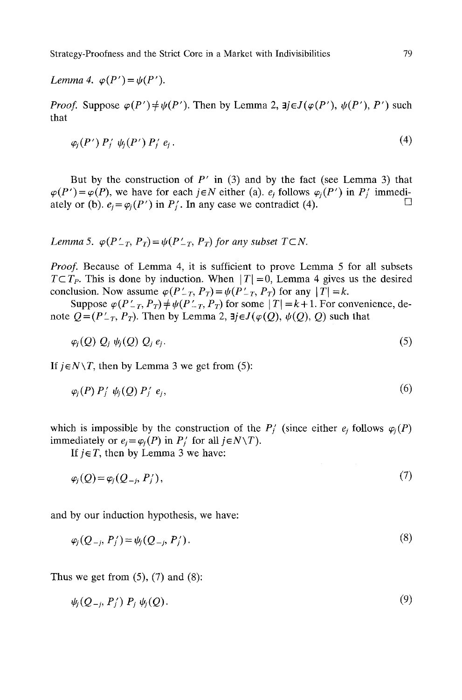*Lemma 4.*  $\varphi(P') = \psi(P')$ .

*Proof.* Suppose  $\varphi(P') \neq \psi(P')$ . Then by Lemma 2,  $\exists j \in J(\varphi(P'), \psi(P'), P')$  such that

$$
\varphi_i(P')\,P'_i\,\,\psi_i(P')\,P'_i\,e_i\,. \tag{4}
$$

But by the construction of  $P'$  in (3) and by the fact (see Lemma 3) that  $\varphi(P') = \varphi(P)$ , we have for each  $j \in N$  either (a).  $e_j$  follows  $\varphi_j(P')$  in P<sub>j</sub> immediately or (b).  $e_i = \varphi_i(P')$  in  $P'_i$ . In any case we contradict (4).

*Lemma 5.*  $\varphi(P_{-T}, P_T) = \psi(P_{-T}, P_T)$  *for any subset*  $T \subset N$ .

*Proof.* Because of Lemma 4, it is sufficient to prove Lemma 5 for all subsets  $T \subset T_p$ . This is done by induction. When  $|T| = 0$ , Lemma 4 gives us the desired conclusion. Now assume  $\varphi(P_{-T}, P_T) = \psi(P_{-T}, P_T)$  for any  $|T| = k$ .

Suppose  $\varphi(P_{-T}, P_T) \neq \psi(P_{-T}, P_T)$  for some  $|T| = k+1$ . For convenience, denote  $Q=(P_{-T}, P_T)$ . Then by Lemma 2,  $\exists j \in J(\varphi(Q), \psi(Q), Q)$  such that

$$
\varphi_j(Q) Q_j \psi_j(Q) Q_j e_j. \tag{5}
$$

*If*  $j \in N \setminus T$ , then by Lemma 3 we get from (5):

$$
\varphi_j(P) P'_j \psi_j(Q) P'_j e_j, \qquad (6)
$$

which is impossible by the construction of the  $P'_i$  (since either  $e_i$  follows  $\varphi_i(P)$ ) immediately or  $e_i = \varphi_i(P)$  in  $P'_i$  for all  $j \in N \setminus T$ ).

If  $j \in T$ , then by Lemma 3 we have:

$$
\varphi_j(Q) = \varphi_j(Q_{-j}, P'_j), \tag{7}
$$

and by our induction hypothesis, we have:

$$
\varphi_j(Q_{-j}, P'_j) = \psi_j(Q_{-j}, P'_j). \tag{8}
$$

Thus we get from  $(5)$ ,  $(7)$  and  $(8)$ :

$$
\psi_j(Q_{-j},P'_j) P_j \psi_j(Q). \tag{9}
$$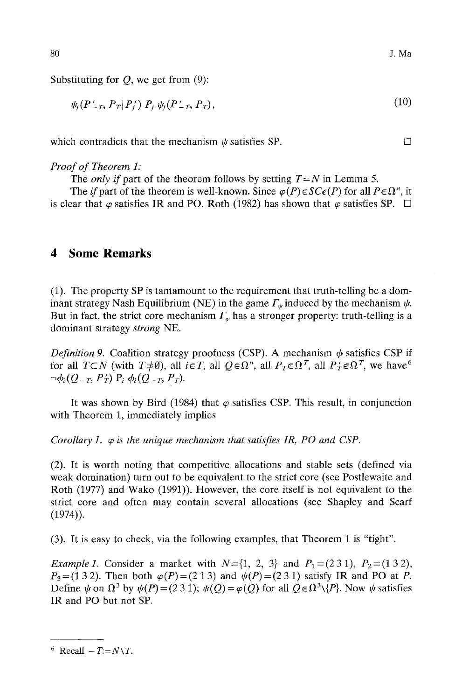Substituting for  $Q$ , we get from  $(9)$ :

$$
\psi_j(P'_{-T}, P_T|P'_j) P_j \psi_j(P'_{-T}, P_T), \qquad (10)
$$

which contradicts that the mechanism  $\psi$  satisfies SP.  $\Box$ 

#### *Proof of Theorem 1:*

The *only if* part of the theorem follows by setting  $T=N$  in Lemma 5.

The *if* part of the theorem is well-known. Since  $\varphi(P) \in SC\epsilon(P)$  for all  $P \in \Omega^n$ , it is clear that  $\varphi$  satisfies IR and PO. Roth (1982) has shown that  $\varphi$  satisfies SP.  $\Box$ 

## **4 Some Remarks**

(1). The property SP is tantamount to the requirement that truth-telling be a dominant strategy Nash Equilibrium (NE) in the game  $\Gamma_{\psi}$  induced by the mechanism  $\psi$ . But in fact, the strict core mechanism  $\Gamma_{\varphi}$  has a stronger property: truth-telling is a dominant strategy *strong* NE.

*Definition 9.* Coalition strategy proofness (CSP). A mechanism  $\phi$  satisfies CSP if for all  $T\subset N$  (with  $T\neq\emptyset$ ), all  $i\in T$ , all  $Q\in\Omega^n$ , all  $P_T\in\Omega^T$ , all  $P_T'\in\Omega^T$ , we have <sup>6</sup>  $\neg \phi_i(Q_{-T}, P'_T)$   $P_i \phi_i(Q_{-T}, P_T)$ .

It was shown by Bird (1984) that  $\varphi$  satisfies CSP. This result, in conjunction with Theorem 1, immediately implies

*Corollary 1.*  $\varphi$  *is the unique mechanism that satisfies IR, PO and CSP.* 

(2). It is worth noting that competitive allocations and stable sets (defined via weak domination) turn out to be equivalent to the strict core (see Postlewaite and Roth (1977) and Wako (1991)). However, the core itself is not equivalent to the strict core and often may contain several allocations (see Shapley and Scarf (1974)).

(3). It is easy to check, via the following examples, that Theorem 1 is "tight".

*Example 1.* Consider a market with  $N = \{1, 2, 3\}$  and  $P_1 = (231)$ ,  $P_2 = (132)$ ,  $P_3=(13 2)$ . Then both  $\varphi(P)=(21 3)$  and  $\psi(P)=(23 1)$  satisfy IR and PO at P. Define  $\psi$  on  $\Omega^3$  by  $\psi(P) = (231)$ ;  $\psi(Q) = \varphi(Q)$  for all  $Q \in \Omega^3 \setminus \{P\}$ . Now  $\psi$  satisfies IR and PO but not SP.

80

 $6$  Recall  $-T:= N \setminus T$ .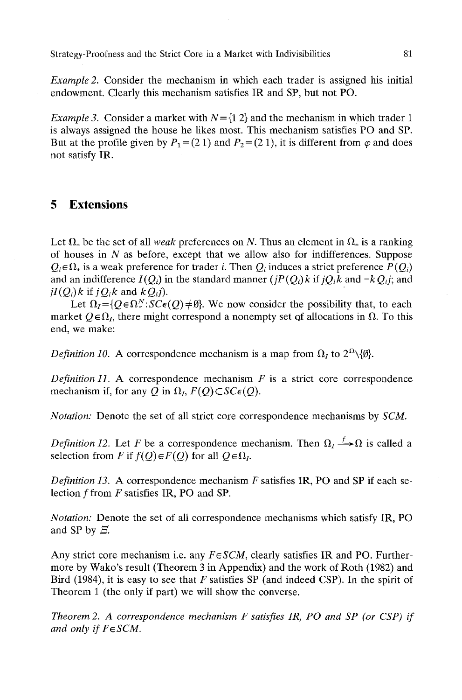Strategy-Proofness and the Strict Core in a Market with Indivisibilities 81

*Example 2.* Consider the mechanism in which each trader is assigned his initial endowment. Clearly this mechanism satisfies IR and SP, but not PO.

*Example 3.* Consider a market with  $N = \{1, 2\}$  and the mechanism in which trader 1 is always assigned the house he likes most. This mechanism satisfies PO and SP. But at the profile given by  $P_1 = (2\ 1)$  and  $P_2 = (2\ 1)$ , it is different from  $\varphi$  and does not satisfy IR.

### **5 Extensions**

Let  $\Omega_*$  be the set of all *weak* preferences on N. Thus an element in  $\Omega_*$  is a ranking of houses in  $N$  as before, except that we allow also for indifferences. Suppose  $Q_i \in \Omega_*$  is a weak preference for trader *i*. Then  $Q_i$  induces a strict preference  $P(Q_i)$ and an indifference  $I(Q_i)$  in the standard manner  $(jP(Q_i)k$  if  $jQ_i k$  and  $\neg kQ_i j$ ; and  $iI(Q_i)$ *k* if  $jQ_i$ *k* and  $kQ_i$ *j*).

Let  $\Omega_I = \{Q \in \Omega^N : S C \in (Q) \neq \emptyset\}$ . We now consider the possibility that, to each market  $Q \in \Omega_I$ , there might correspond a nonempty set of allocations in  $\Omega$ . To this end, we make:

*Definition 10.* A correspondence mechanism is a map from  $\Omega$ <sub>*I*</sub> to  $2^{\Omega} \setminus \{\emptyset\}$ .

*Definition 11.* A correspondence mechanism  $F$  is a strict core correspondence mechanism if, for any Q in  $\Omega_i$ ,  $F(Q) \subset SC \epsilon(Q)$ .

*Notation:* Denote the set of all strict core correspondence mechanisms by *SCM.* 

*Definition 12.* Let F be a correspondence mechanism. Then  $\Omega_I \rightarrow \Omega$  is called a selection from F if  $f(Q) \in F(Q)$  for all  $Q \in \Omega$ .

*Definition 13.* A correspondence mechanism F satisfies IR, PO and SP if each selection  $f$  from  $F$  satisfies IR, PO and SP.

*Notation:* Denote the set of all correspondence mechanisms which satisfy IR, PO and SP by  $\Xi$ .

Any strict core mechanism i.e. any  $F \in \mathcal{SCM}$ , clearly satisfies IR and PO. Furthermore by Wako's result (Theorem 3 in Appendix) and the work of Roth (1982) and Bird (1984), it is easy to see that  $F$  satisfies SP (and indeed CSP). In the spirit of Theorem 1 (the only if part) we will show the converse.

*Theorem 2. A correspondence mechanism F satisfies IR, PO and SP (or CSP) if*  and only if  $F \in \text{SCM}$ .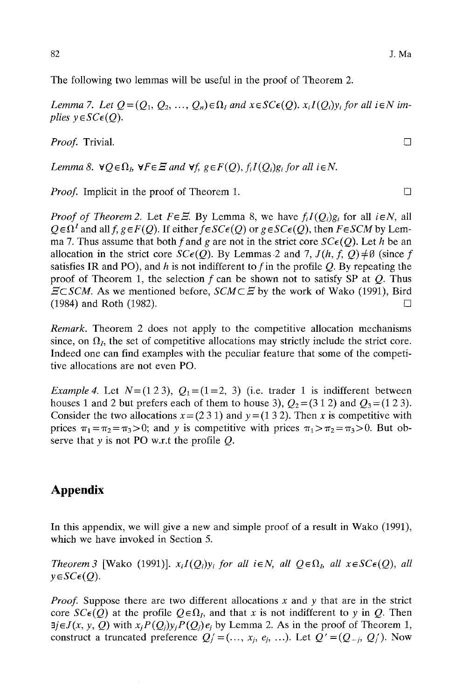The following two lemmas will be useful in the proof of Theorem 2.

*Lemma 7. Let*  $Q = (Q_1, Q_2, ..., Q_n) \in \Omega_I$  and  $x \in SC \epsilon(Q)$ .  $x_i I(Q_i)y_i$  for all i $\in N$  im*plies*  $y \in SC \epsilon(Q)$ .

*Proof.* Trivial. □

*Lemma 8.*  $\forall Q \in \Omega$ ,  $\forall F \in \Xi$  and  $\forall f, g \in F(Q)$ ,  $f_iI(Q_i)g_i$  for all  $i \in N$ .

*Proof.* Implicit in the proof of Theorem 1.

*Proof of Theorem 2.* Let  $F \in \mathbb{H}$ . By Lemma 8, we have  $f_i I(Q_i) g_i$  for all  $i \in N$ , all  $Q \in \Omega^I$  and all  $f, g \in F(Q)$ . If either  $f \in SC \in (Q)$  or  $g \in SC \in (Q)$ , then  $F \in SCM$  by Lemma 7. Thus assume that both f and g are not in the strict core  $SC\varepsilon(Q)$ . Let h be an allocation in the strict core  $SC\epsilon(Q)$ . By Lemmas 2 and 7,  $J(h, f, Q) \neq \emptyset$  (since f satisfies IR and PO), and h is not indifferent to f in the profile  $Q$ . By repeating the proof of Theorem 1, the selection  $f$  can be shown not to satisfy SP at  $Q$ . Thus  $\Xi\subset\text{SCM}$ . As we mentioned before,  $\text{SCM}\subset\Xi$  by the work of Wako (1991), Bird  $(1984)$  and Roth (1982).

*Remark.* Theorem 2 does not apply to the competitive allocation mechanisms since, on  $\Omega$ <sub>*I*</sub>, the set of competitive allocations may strictly include the strict core. Indeed one can find examples with the peculiar feature that some of the competitive allocations are not even PO.

*Example 4.* Let  $N=(123)$ ,  $Q_1=(1=2, 3)$  (i.e. trader 1 is indifferent between houses 1 and 2 but prefers each of them to house 3),  $Q_2 = (3\ 1\ 2)$  and  $Q_3 = (1\ 2\ 3)$ . Consider the two allocations  $x = (231)$  and  $y = (132)$ . Then x is competitive with prices  $\pi_1 = \pi_2 = \pi_3 > 0$ ; and y is competitive with prices  $\pi_1 > \pi_2 = \pi_3 > 0$ . But observe that  $v$  is not PO w.r.t the profile  $O$ .

# **Appendix**

In this appendix, we will give a new and simple proof of a result in Wako (1991), which we have invoked in Section 5.

*Theorem 3* [Wako (1991)].  $x_iI(Q_i)y_i$  for all  $i \in N$ , all  $Q \in \Omega$ , all  $x \in SC \epsilon(Q)$ , all  $y \in SC\epsilon(Q)$ .

*Proof.* Suppose there are two different allocations x and y that are in the strict core  $SC\epsilon(Q)$  at the profile  $Q \epsilon \Omega_I$ , and that x is not indifferent to y in Q. Then  $\exists j \in J(x, y, Q)$  with  $x_j P(Q_j)y_j P(Q_j)e_j$  by Lemma 2. As in the proof of Theorem 1, construct a truncated preference  $Q_i' = (..., x_i, e_i, ...)$ . Let  $Q' = (Q_{-i}, Q_i')$ . Now